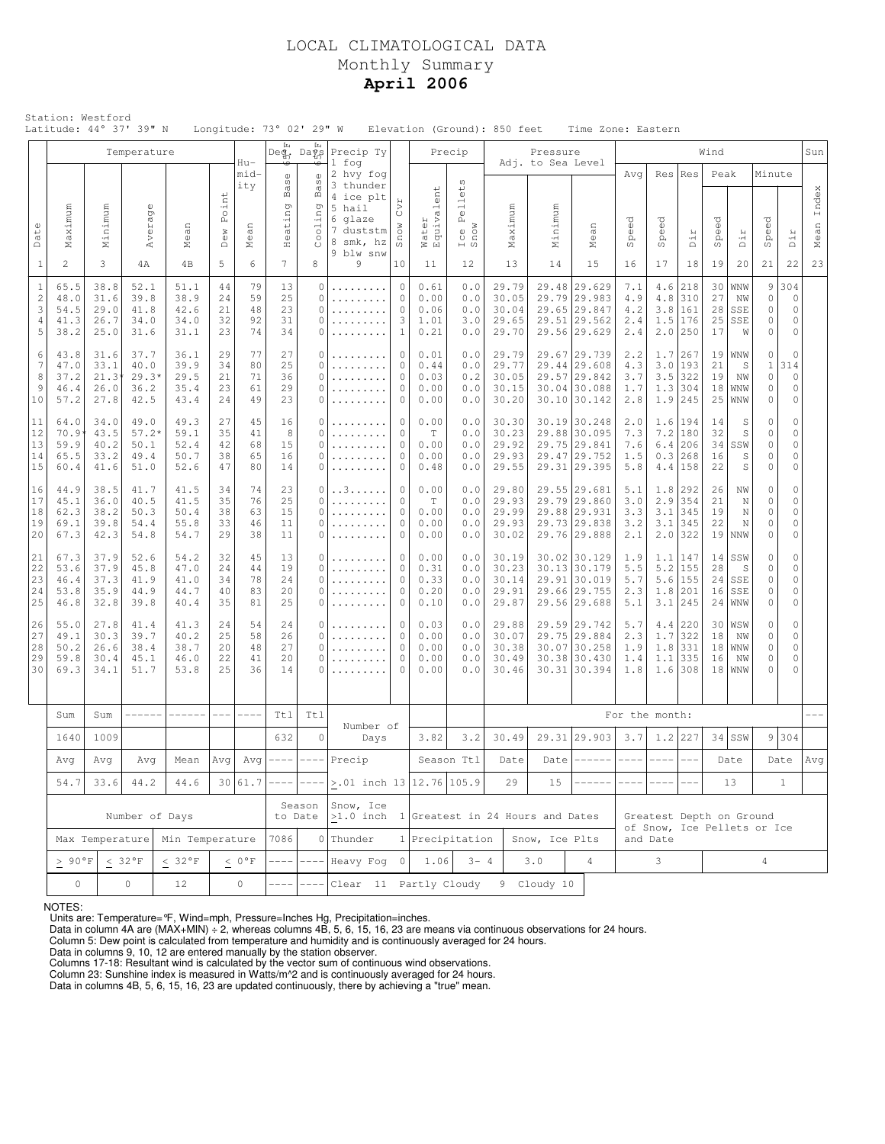## LOCAL CLIMATOLOGICAL DATA Monthly Summary **April 2006**

|                                                        | Station: Westford                        |                                         | Latitude: 44° 37' 39" N                 |                                      |                            |                                  |                                                                            | Longitude: 73° 02' 29" W                   |                                                                                    |                                                    |                                      |                                                                                      | Elevation (Ground): 850 feet              |                               | Time Zone: Eastern                                                           |                                                    |                                            |                                                                       |                             |                                  |                                                                  |                                                                   |               |
|--------------------------------------------------------|------------------------------------------|-----------------------------------------|-----------------------------------------|--------------------------------------|----------------------------|----------------------------------|----------------------------------------------------------------------------|--------------------------------------------|------------------------------------------------------------------------------------|----------------------------------------------------|--------------------------------------|--------------------------------------------------------------------------------------|-------------------------------------------|-------------------------------|------------------------------------------------------------------------------|----------------------------------------------------|--------------------------------------------|-----------------------------------------------------------------------|-----------------------------|----------------------------------|------------------------------------------------------------------|-------------------------------------------------------------------|---------------|
|                                                        |                                          |                                         | Temperature                             |                                      |                            | Hu-                              | $\mathsf{Deg}_n$<br>₩                                                      | Ŀц<br>Days                                 | Precip Ty<br>1 fog                                                                 |                                                    |                                      | Precip                                                                               |                                           | Pressure<br>Adj. to Sea Level |                                                                              |                                                    |                                            |                                                                       | Wind                        |                                  |                                                                  |                                                                   | Sun           |
| Date                                                   | Maximum                                  | Minimum                                 | Average                                 | Mean                                 | Point<br>Dew               | mid-<br>ity<br>$\square$<br>Meai | $\mathbb O$<br>S)<br>$_{\rm B}$<br>ng<br>$\frac{1}{1}$<br>Hea <sup>-</sup> | ₻<br>Ф<br>S)<br>$\mathbb B$<br>p<br>30011  | 2 hvy fog<br>3 thunder<br>4 ice plt<br>5 hail<br>6 glaze<br>7 duststm<br>8 smk, hz | CVI<br>Snow                                        | Water<br>Equivalent                  | $\omega$<br>$_{\oplus}^{\scriptscriptstyle\downarrow}$<br>e11<br>Á,<br>Ice I<br>Snow | Maximum                                   | Minimum                       | $\square$<br>Mea                                                             | Avg<br>$\partial_{\theta}$<br>Ō,<br>$\overline{c}$ | ି<br>ବ<br>$\tilde{\mathbb{P}}$<br>$\omega$ | Res   Res<br>Dir                                                      | Peak<br>Speed               | Dir                              | Minute<br>Speed                                                  | Dir                                                               | Index<br>Mean |
| $\mathbf{1}$                                           | $\overline{2}$                           | 3                                       | 4А                                      | 4B                                   | 5                          | 6                                | 7                                                                          | 8                                          | 9 blw snw<br>9                                                                     | 10                                                 | 11                                   | 12                                                                                   | 13                                        | 14                            | 15                                                                           | 16                                                 | 17                                         | 18                                                                    | 19                          | 20                               | 21                                                               | 22                                                                | 23            |
| $\mathbf{1}$<br>$\sqrt{2}$<br>3<br>$\overline{4}$<br>5 | 65.5<br>48.0<br>54.5<br>41.3<br>38.2     | 38.8<br>31.6<br>29.0<br>26.7<br>25.0    | 52.1<br>39.8<br>41.8<br>34.0<br>31.6    | 51.1<br>38.9<br>42.6<br>34.0<br>31.1 | 44<br>24<br>21<br>32<br>23 | 79<br>59<br>48<br>92<br>74       | 13<br>25<br>23<br>31<br>34                                                 | 0<br>0<br>0<br>0<br>0                      | .<br>.<br>.<br>.                                                                   | $\circ$<br>$\circ$<br>$\circ$<br>3<br>1            | 0.61<br>0.00<br>0.06<br>1.01<br>0.21 | 0.0<br>0.0<br>0.0<br>3.0<br>0.0                                                      | 29.79<br>30.05<br>30.04<br>29.65<br>29.70 |                               | 29.48 29.629<br>29.79 29.983<br>29.65 29.847<br>29.51 29.562<br>29.56 29.629 | 7.1<br>4.9<br>4.2<br>2.4<br>2.4                    | 4.6<br>4.8<br>1.5                          | 218<br>1310<br>3.8 161<br>176<br>$2.0$   250                          | 30<br>27<br>28<br>25<br>17  | WNW<br>NW<br>SSE<br>SSE<br>W     | 9<br>$\mathbb O$<br>$\circ$<br>$\mathbb O$<br>$\circ$            | 304<br>$\circ$<br>$\mathbb O$<br>$\circ$<br>$\circ$               |               |
| 6<br>7<br>8<br>9<br>10                                 | 43.8<br>47.0<br>37.2<br>46.4<br>57.2     | 31.6<br>33.1<br>$21.3*$<br>26.0<br>27.8 | 37.7<br>40.0<br>$29.3*$<br>36.2<br>42.5 | 36.1<br>39.9<br>29.5<br>35.4<br>43.4 | 29<br>34<br>21<br>23<br>24 | 77<br>80<br>71<br>61<br>49       | 27<br>25<br>36<br>29<br>23                                                 | 0<br>0<br>0<br>0<br>$\Omega$               | .<br>.<br>.<br>.                                                                   | 0<br>$\circ$<br>$\mathbf{0}$<br>$\circ$<br>$\circ$ | 0.01<br>0.44<br>0.03<br>0.00<br>0.00 | 0.0<br>0.0<br>0.2<br>0.0<br>0.0                                                      | 29.79<br>29.77<br>30.05<br>30.15<br>30.20 |                               | 29.67 29.739<br>29.44 29.608<br>29.57 29.842<br>30.04 30.088<br>30.10 30.142 | 2.2<br>4.3<br>3.7<br>1.7<br>2.8                    |                                            | $1.7$   267<br>$3.0$  193<br>$3.5$ 322<br>$1.3$ 304<br>$1.9$  245     | 21<br>19<br>18<br>25        | 19 WW<br>S<br>NW<br>WNW<br>WNW   | $\circ$<br>$\mathbf{1}$<br>$\circ$<br>0<br>$\mathbb O$           | $\mathbf{0}$<br>314<br>$\circ$<br>$\circ$<br>$\circ$              |               |
| 11<br>12<br>13<br>14<br>15                             | 64.0<br>70.9<br>59.9<br>65.5<br>60.4     | 34.0<br>43.5<br>40.2<br>33.2<br>41.6    | 49.0<br>$57.2*$<br>50.1<br>49.4<br>51.0 | 49.3<br>59.1<br>52.4<br>50.7<br>52.6 | 27<br>35<br>42<br>38<br>47 | 45<br>41<br>68<br>65<br>80       | 16<br>8<br>15<br>16<br>14                                                  | 0<br>$\Omega$<br>$\Omega$<br>$\Omega$<br>0 | .<br>.<br>.                                                                        | 0<br>$\circ$<br>$\circ$<br>$\circ$<br>$\circ$      | 0.00<br>T<br>0.00<br>0.00<br>0.48    | 0.0<br>0.0<br>0.0<br>0.0<br>0.0                                                      | 30.30<br>30.23<br>29.92<br>29.93<br>29.55 |                               | 30.19 30.248<br>29.88 30.095<br>29.75 29.841<br>29.47 29.752<br>29.31 29.395 | 2.0<br>7.3<br>7.6<br>1.5<br>5.8                    | 7.2<br>6.4                                 | $1.6$   194<br> 180<br>206<br>$0.3$ 268<br>$4.4$   158                | 14<br>32<br>34<br>16<br>22  | S<br>S<br>SSW<br>S<br>S          | $\circ$<br>$\mathbb O$<br>$\circ$<br>$\circ$<br>$\mathbb O$      | $\mathbb O$<br>$\Omega$<br>$\circ$<br>0<br>0                      |               |
| 16<br>17<br>18<br>19<br>20                             | 44.9<br>45.1<br>62.3<br>69.1<br>67.3     | 38.5<br>36.0<br>38.2<br>39.8<br>42.3    | 41.7<br>40.5<br>50.3<br>54.4<br>54.8    | 41.5<br>41.5<br>50.4<br>55.8<br>54.7 | 34<br>35<br>38<br>33<br>29 | 74<br>76<br>63<br>46<br>38       | 23<br>25<br>15<br>11<br>11                                                 | 0<br>$\Omega$<br>0<br>0<br>0               | . . 3<br>.<br>.                                                                    | 0<br>$\circ$<br>$\circ$<br>$\circ$<br>$\circ$      | 0.00<br>T<br>0.00<br>0.00<br>0.00    | 0.0<br>0.0<br>0.0<br>0.0<br>0.0                                                      | 29.80<br>29.93<br>29.99<br>29.93<br>30.02 |                               | 29.55 29.681<br>29.79 29.860<br>29.88 29.931<br>29.73 29.838<br>29.76 29.888 | 5.1<br>3.0<br>3.3<br>3.2<br>2.1                    |                                            | $1.8$  292<br>$2.9$   354<br>$3.1$   345<br>$3.1$   345<br>$2.0$  322 | 26<br>21<br>19<br>22<br>19  | ΝW<br>N<br>N<br>N<br><b>NNW</b>  | $\mathbb O$<br>$\circ$<br>$\circ$<br>$\circ$<br>$\mathbb O$      | $\mathbf 0$<br>$\Omega$<br>$\mathbb O$<br>$\mathbb O$<br>$\Omega$ |               |
| 21<br>22<br>23<br>24<br>25                             | 67.3<br>53.6<br>46.4<br>53.8<br>46.8     | 37.9<br>37.9<br>37.3<br>35.9<br>32.8    | 52.6<br>45.8<br>41.9<br>44.9<br>39.8    | 54.2<br>47.0<br>41.0<br>44.7<br>40.4 | 32<br>24<br>34<br>40<br>35 | 45<br>44<br>78<br>83<br>81       | 13<br>19<br>24<br>20<br>25                                                 | 0<br>$\Omega$<br>0<br>0<br>0               | .<br>.<br>.                                                                        | 0<br>$\circ$<br>$\circ$<br>$\circ$<br>$\Omega$     |                                      | 0.0<br>0.0<br>0.0<br>0.0<br>0.0                                                      | 30.19<br>30.23<br>30.14<br>29.91<br>29.87 |                               | 30.02 30.129<br>30.13 30.179<br>29.91 30.019<br>29.66 29.755<br>29.56 29.688 | 1.9<br>5.5<br>5.7<br>2.3<br>5.1                    |                                            | $1.1$  147<br>$5.2$   155<br>5.6 155<br>1.8 201<br>$3.1$   245        | 14<br>28<br>24<br>16<br>24  | SSW<br>S<br>SSE<br>SSE<br>WNW    | $\circ$<br>$\mathbf{0}$<br>$\mathbb O$<br>$\mathbb O$<br>$\circ$ | $\mathbf 0$<br>$\mathbf 0$<br>0<br>$\mathbb O$<br>$\mathbf 0$     |               |
| 26<br>27<br>28<br>29<br>30                             | 55.0<br>49.1<br>50.2<br>59.8<br>69.3     | 27.8<br>30.3<br>26.6<br>30.4<br>34.1    | 41.4<br>39.7<br>38.4<br>45.1<br>51.7    | 41.3<br>40.2<br>38.7<br>46.0<br>53.8 | 24<br>25<br>20<br>22<br>25 | 54<br>58<br>48<br>41<br>36       | 24<br>26<br>27<br>20<br>14                                                 | 0<br>0<br>$\Omega$<br>$\Omega$<br>0        | .                                                                                  | $\circ$<br>$\circ$<br>$\circ$<br>$\circ$<br>0      | 0.03<br>0.00<br>0.00<br>0.00<br>0.00 | 0.0<br>0.0<br>0.0<br>0.0<br>0.0                                                      | 29.88<br>30.07<br>30.38<br>30.49<br>30.46 |                               | 29.59 29.742<br>29.75 29.884<br>30.07 30.258<br>30.38 30.430<br>30.31 30.394 | 5.7<br>2.3<br>1.9<br>1.4<br>1.8                    | 1.1<br>1.6                                 | $4.4$   220<br>$1.7$   322<br>$1.8$   331<br>335<br>308               | 18<br>18<br>16<br>18        | 30 WSW<br>NW<br>WNW<br>NW<br>WNW | $\circ$<br>$\mathbb O$<br>$\circ$<br>$\mathbb O$<br>0            | 0<br>0<br>$\mathbb O$<br>$\mathbf 0$<br>$\mathcal{C}$             |               |
|                                                        | Sum                                      | Sum                                     | ------                                  | $------$                             | $---$                      | $--- - -$                        | Ttl                                                                        | Tt1                                        | Number of                                                                          |                                                    |                                      |                                                                                      |                                           |                               |                                                                              | For the month:                                     |                                            |                                                                       |                             |                                  |                                                                  |                                                                   |               |
|                                                        | 1640                                     | 1009                                    |                                         |                                      |                            |                                  | 632                                                                        | $\mathbf 0$                                | Days                                                                               |                                                    | 3.82                                 | 3.2                                                                                  | 30.49                                     |                               | 29.31 29.903                                                                 | 3.7                                                |                                            | $1.2$ 227                                                             |                             | $34$ SSW                         | 9                                                                | 304                                                               |               |
|                                                        | Avg                                      | Avg                                     | Avg                                     | Mean                                 |                            | $Avg \mid Avg \mid --- \mid$     |                                                                            | $--- -$                                    | Precip                                                                             |                                                    |                                      | Season Ttl                                                                           | Date                                      |                               | Date $ -----$                                                                |                                                    |                                            | $---$                                                                 |                             | Date                             |                                                                  | Date                                                              | Avq           |
|                                                        | 54.7                                     | 33.6                                    | 44.2                                    | 44.6                                 |                            | 30 61.7                          | $--- -$                                                                    | $--- - -$<br>Season                        | $> 01$ inch 13 12.76 105.9<br>Snow, Ice                                            |                                                    |                                      |                                                                                      | 29                                        | 15                            |                                                                              |                                                    |                                            |                                                                       |                             | 13                               |                                                                  | $\mathbf{1}$                                                      |               |
|                                                        |                                          |                                         |                                         | Number of Days                       |                            |                                  |                                                                            | to Date                                    | >1.0 inch 1 Greatest in 24 Hours and Dates                                         |                                                    |                                      |                                                                                      |                                           |                               |                                                                              | Greatest Depth on Ground                           |                                            |                                                                       | of Snow, Ice Pellets or Ice |                                  |                                                                  |                                                                   |               |
|                                                        |                                          | Max Temperature                         |                                         | Min Temperature                      |                            |                                  | 7086                                                                       |                                            | $0$  Thunder                                                                       |                                                    | 1 Precipitation                      |                                                                                      |                                           | Snow, Ice Plts                |                                                                              |                                                    | and Date                                   |                                                                       |                             |                                  |                                                                  |                                                                   |               |
|                                                        | $\geq~90\,^{\circ}\mathrm{F}$<br>$\circ$ |                                         | $< 32°$ F<br>$\circ$                    | < 32°F<br>12                         |                            | $\leq 0$ °F<br>$\circ$           |                                                                            |                                            | $---$  Heavy Foq 0<br>Clear 11 Partly Cloudy                                       |                                                    | 1.06                                 | $3 - 4$                                                                              |                                           | 3.0<br>9 Cloudy 10            | 4                                                                            |                                                    | $3 -$                                      |                                                                       |                             |                                  | $\overline{4}$                                                   |                                                                   |               |

NOTES:

Units are: Temperature=°F, Wind=mph, Pressure=Inches Hg, Precipitation=inches. Data in column 4A are (MAX+MIN) ÷ 2, whereas columns 4B, 5, 6, 15, 16, 23 are means via continuous observations for 24 hours.

Column 5: Dew point is calculated from temperature and humidity and is continuously averaged for 24 hours. Data in columns 9, 10, 12 are entered manually by the station observer.

Columns 17-18: Resultant wind is calculated by the vector sum of continuous wind observations.<br>Column 23: Sunshine index is measured in Watts/m^2 and is continuously averaged for 24 hours.<br>Data in columns 4B, 5, 6, 15, 16,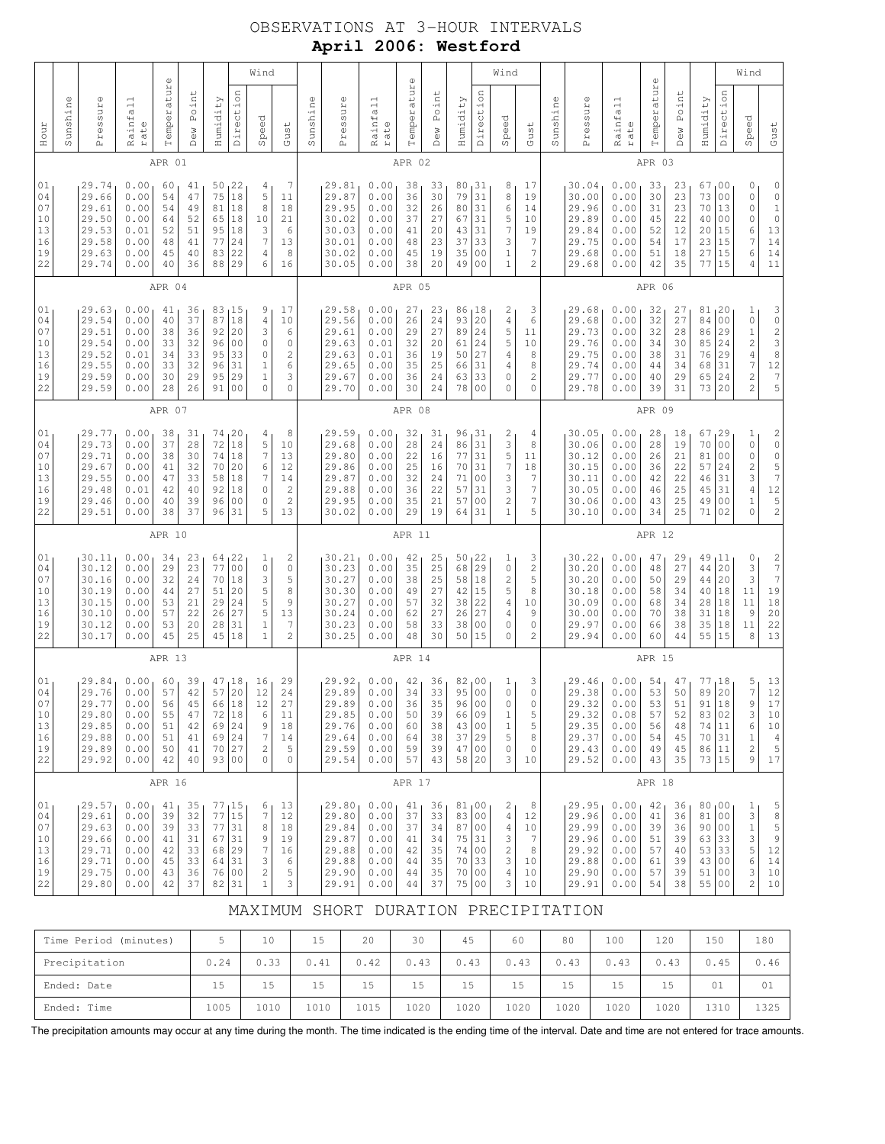## OBSERVATIONS AT 3-HOUR INTERVALS **April 2006: Westford**

| 01    | 01<br>04<br>07<br>10<br>13<br>16<br>19<br>22                                            |        | 01<br>04<br>07<br>10<br>13<br>16<br>19<br>22                                 |        | 01<br>04<br>07<br>10<br>13<br>16<br>19<br>22                                                                     |        | 01<br>04<br>07<br>10<br>13<br>16<br>19<br>22                                                                               |        | 01<br>04<br>07<br>10<br>13<br>16<br>19<br>22                                                                | Hour                       |  |
|-------|-----------------------------------------------------------------------------------------|--------|------------------------------------------------------------------------------|--------|------------------------------------------------------------------------------------------------------------------|--------|----------------------------------------------------------------------------------------------------------------------------|--------|-------------------------------------------------------------------------------------------------------------|----------------------------|--|
|       |                                                                                         |        |                                                                              |        |                                                                                                                  |        |                                                                                                                            |        |                                                                                                             | Sunshine                   |  |
| 29.92 | 29.84<br>29.76<br>29.77<br>29.80<br>29.85<br>29.88<br>29.89                             |        | 30.11<br>30.12<br>30.16<br>30.19<br>30.15<br>30.10<br>30.12<br>30.17         |        | 29.77<br>29.73<br>29.71<br>29.67<br>29.55<br>29.48<br>29.46<br>29.51                                             |        | 29.63<br>29.54<br>29.51<br>29.54<br>29.52<br>29.55<br>29.59<br>29.59                                                       |        | 29.74<br>29.66<br>29.61<br>29.50<br>29.53<br>29.58<br>29.63<br>29.74                                        | Pressure                   |  |
| 0.00  | 0.00<br>0.00<br>0.00<br>0.00<br>0.00<br>0.00<br>0.00                                    |        | 0.00<br>0.00<br>0.00<br>0.00<br>0.00<br>0.00<br>0.00<br>0.00                 |        | 0.00<br>0.00<br>0.00<br>0.00<br>0.00<br>0.01<br>0.00<br>0.00                                                     |        | 0.00<br>0.00<br>0.00<br>0.00<br>0.01<br>0.00<br>0.00<br>0.00                                                               |        | 0.00<br>0.00<br>0.00<br>0.00<br>0.01<br>0.00<br>0.00<br>0.00                                                | Rainfall<br>rate           |  |
| 42    | 60<br>57<br>56<br>55<br>51<br>51<br>50                                                  | APR 13 | 34<br>29<br>32<br>44<br>53<br>57<br>53<br>45                                 | APR 10 | 38<br>37<br>38<br>41<br>47<br>42<br>40<br>38                                                                     | APR 07 | 41<br>40<br>38<br>33<br>34<br>33<br>30<br>28                                                                               | APR 04 | APR 01<br>60<br>54<br>54<br>64<br>52<br>48<br>45<br>40                                                      | $\mathbb{O}$<br>Temperatur |  |
| 40    | 39<br>42<br>45<br>47<br>42<br>41<br>41                                                  |        | 23<br>23<br>24<br>27<br>21<br>22<br>20<br>25                                 |        | 31<br>28<br>30<br>32<br>33<br>40<br>39<br>37                                                                     |        | 36<br>37<br>36<br>32<br>33<br>32<br>29<br>26                                                                               |        | 41<br>47<br>49<br>52<br>51<br>41<br>40<br>36                                                                | Point<br>Dew               |  |
|       | $\begin{array}{c c} 47 & 18 \\ 57 & 20 \end{array}$<br>66 18<br>72<br>69<br>69<br>70 27 |        | 64, 22<br>77<br>70<br>51<br>29<br>26<br>28<br>45                             |        | 74, 20<br>$72\,$<br>74<br>70<br>58<br>92<br>96<br>96                                                             |        | 83<br>87<br>92<br>96<br>95<br>96<br>95<br>91                                                                               |        | 50<br>75<br>81<br>65<br>95<br>77<br>83<br>88                                                                | Humidity                   |  |
|       | 18<br>24<br>24<br>93 00                                                                 |        | 0 <sub>0</sub><br>18<br>20<br>24<br>27<br>31<br>18                           |        | 18<br>18<br>20<br>18<br>18<br>0 <sub>0</sub><br>31                                                               |        | 15<br>18<br>20<br>0 <sub>0</sub><br>33<br>31<br>29<br>0 <sub>0</sub>                                                       |        | 22<br>18<br>18<br>18<br>18<br>24<br>22<br>29                                                                | Direction                  |  |
|       | $\begin{array}{c} 16 \\ 12 \end{array}$<br>12<br>6<br>9<br>7<br>2<br>0                  |        | 1<br>$\mathbb O$<br>3<br>5<br>5<br>5<br>$\mathbf 1$<br>$\mathbf{1}$          |        | 4<br>5<br>$\gamma$<br>6<br>7<br>$\circ$<br>0<br>5                                                                |        | 9<br>4<br>3<br>0<br>0<br>$1\,$<br>$\mathbf 1$<br>$\overline{0}$                                                            |        | $\overline{4}$<br>5<br>8<br>10<br>3<br>$\overline{7}$<br>$\sqrt{4}$<br>6                                    | Wind<br>Speed              |  |
|       | 29<br>24<br>27<br>11<br>18<br>14<br>5<br>$\mathbb O$                                    |        | 2<br>$\mathbb O$<br>5<br>8<br>9<br>13<br>7<br>$\overline{2}$                 |        | 8<br>10<br>13<br>12<br>14<br>$\overline{\mathbf{c}}$<br>$\overline{c}$<br>13                                     |        | 17<br>10<br>6<br>$\circ$<br>$\overline{\mathbf{c}}$<br>6<br>3<br>$\mathbf 0$                                               |        | 7<br>11<br>18<br>21<br>6<br>13<br>8<br>16                                                                   | Gust                       |  |
|       |                                                                                         |        |                                                                              |        |                                                                                                                  |        |                                                                                                                            |        |                                                                                                             | Sunshine                   |  |
|       | 29.92<br>29.89<br>29.89<br>29.85<br>29.76<br>29.64<br>29.59<br>29.54                    |        | 30.21<br>30.23<br>30.27<br>30.30<br>30.27<br>30.24<br>30.23<br>30.25         |        | 29.59<br>29.68<br>29.80<br>29.86<br>29.87<br>29.88<br>29.95<br>30.02                                             |        | 29.58<br>29.56<br>29.61<br>29.63<br>29.63<br>29.65<br>29.67<br>29.70                                                       |        | 29.81<br>29.87<br>29.95<br>30.02<br>30.03<br>30.01<br>30.02<br>30.05                                        | Pressure                   |  |
|       | 0.00<br>0.00<br>0.00<br>0.00<br>0.00<br>0.00<br>0.00<br>0.00                            |        | 0.00<br>0.00<br>0.00<br>0.00<br>0.00<br>0.00<br>0.00<br>0.00                 |        | 0.00<br>0.00<br>0.00<br>0.00<br>0.00<br>0.00<br>0.00<br>0.00                                                     |        | 0.00<br>0.00<br>0.00<br>0.01<br>0.01<br>0.00<br>0.00<br>0.00                                                               |        | 0.00<br>0.00<br>0.00<br>0.00<br>0.00<br>0.00<br>0.00<br>0.00                                                | Rainfall<br>rate           |  |
|       | 42<br>34<br>36<br>50<br>60<br>64<br>59<br>57                                            | APR 14 | 42<br>35<br>38<br>49<br>57<br>62<br>58<br>48                                 | APR 11 | 32<br>28<br>22<br>25<br>32<br>36<br>35<br>29                                                                     | APR 08 | 27<br>26<br>29<br>32<br>36<br>35<br>36<br>30                                                                               | APR 05 | APR 02<br>38<br>36<br>32<br>37<br>41<br>48<br>45<br>38                                                      | $\mathbb U$<br>Temperatur  |  |
|       | $\frac{36}{33}$<br>35<br>39<br>38<br>38<br>39<br>43                                     |        | 25<br>25<br>25<br>27<br>32<br>27<br>33<br>30                                 |        | 31<br>24<br>16<br>16<br>24<br>22<br>21<br>19                                                                     |        | 23<br>24<br>27<br>20<br>19<br>25<br>24<br>24                                                                               |        | 33<br>30<br>26<br>27<br>20<br>23<br>19<br>20                                                                | Point<br>Dew               |  |
|       | 82<br>95<br>96<br>66<br>43 00<br>37<br>47 00<br>58 20                                   |        | 50, 22<br>68<br>58<br>42<br>38<br>26<br>38<br>50                             |        | 96<br>86<br>77<br>70<br>71<br>57<br>57<br>64                                                                     |        | 86<br>93<br>89<br>61<br>50<br>66<br>63<br>78                                                                               |        | 80<br>79<br>80<br>67<br>43<br>37<br>35<br>49                                                                | Humidity                   |  |
|       | 00 ر<br>00<br>  00<br>  09<br> 29                                                       |        | 29<br>18<br> 15<br>22<br>27<br> 00<br>15                                     |        | 131<br>31<br>31<br>31<br>0 <sub>0</sub><br>31<br> 00<br>31                                                       |        | 18<br> 20<br>24<br>24<br>27<br>31<br>33<br>00                                                                              |        | 131<br> 31<br>31<br> 31<br> 31<br>33<br>00<br>00                                                            | Direction                  |  |
|       | ı<br>$\mathsf{O}\xspace$<br>$\circ$<br>1<br>$\mathbf 1$<br>5<br>0<br>3                  |        | 1<br>0<br>$\overline{c}$<br>5<br>$\overline{4}$<br>4<br>0<br>0               |        | 2<br>3<br>5<br>$\boldsymbol{7}$<br>3<br>3<br>$\overline{c}$<br>$\mathbf{1}$                                      |        | 2<br>4<br>5<br>5<br>4<br>$\,4\,$<br>0<br>0                                                                                 |        | 8<br>8<br>6<br>5<br>7<br>3<br>$\mathbf 1$<br>$\mathbf{1}$                                                   | Wind<br>Speed              |  |
|       | $\begin{array}{c} 3 \\ 0 \end{array}$<br>$\circ$<br>5<br>5<br>8<br>0<br>10              |        | 3<br>2<br>5<br>8<br>10<br>9<br>$\mathbb O$<br>2                              |        | 4<br>8<br>11<br>18<br>7<br>$\boldsymbol{7}$<br>7<br>5                                                            |        | 3<br>6<br>11<br>10<br>8<br>8<br>$\mathbf{2}$<br>0                                                                          |        | 17<br>19<br>14<br>10<br>19<br>7<br>$\overline{7}$<br>2                                                      | Gust                       |  |
|       |                                                                                         |        |                                                                              |        |                                                                                                                  |        |                                                                                                                            |        |                                                                                                             | Sunshine                   |  |
|       | 29.46<br>29.38<br>29.32<br>29.32<br>29.35<br>29.37<br>29.43<br>29.52                    |        | 30.22<br>30.20<br>30.20<br>30.18<br>30.09<br>30.00<br>29.97<br>29.94         |        | 30.05<br>30.06<br>30.12<br>30.15<br>30.11<br>30.05<br>30.06<br>30.10                                             |        | 29.68<br>29.68<br>29.73<br>29.76<br>29.75<br>29.74<br>29.77<br>29.78                                                       |        | 30.04<br>30.00<br>29.96<br>29.89<br>29.84<br>29.75<br>29.68<br>29.68                                        | Pressure                   |  |
|       | 0.00<br>0.00<br>0.00<br>0.08<br>0.00<br>0.00<br>0.00<br>0.00                            |        | 0.00<br>0.00<br>0.00<br>0.00<br>0.00<br>0.00<br>0.00<br>0.00                 |        | 0.00<br>0.00<br>0.00<br>0.00<br>0.00<br>0.00<br>0.00<br>0.00                                                     |        | 0.00<br>0.00<br>0.00<br>0.00<br>0.00<br>0.00<br>0.00<br>0.00                                                               |        | 0.00<br>0.00<br>0.00<br>0.00<br>0.00<br>0.00<br>0.00<br>0.00                                                | Rainfall<br>rate           |  |
|       | 54<br>53<br>531<br>57<br>56<br>54<br>49<br>43                                           | APR 15 | 47<br>48<br>50<br>58<br>68<br>70<br>66<br>60                                 | APR 12 | 28<br>28<br>26<br>36<br>42<br>46<br>43<br>34                                                                     | APR 09 | 32<br>32<br>32<br>34<br>38<br>44<br>40<br>39                                                                               | APR 06 | APR 03<br>33<br>30<br>31<br>45<br>52<br>54<br>51<br>42                                                      | $\mathbb O$<br>Temperatur  |  |
|       | $\begin{array}{c} 47 \\ 50 \end{array}$<br>51<br>52<br>48<br>45<br>45<br>35             |        | 29<br>27<br>29<br>34<br>34<br>38<br>38<br>44                                 |        | 18<br>19<br>21<br>22<br>22<br>25<br>25<br>25                                                                     |        | 27<br>27<br>28<br>30<br>31<br>34<br>29<br>31                                                                               |        | 23<br>23<br>23<br>22<br>12<br>17<br>18<br>35                                                                | Point<br><b>Dew</b>        |  |
|       | 77<br>89<br>91<br>83<br>74 11<br>70<br>86   11<br>73 15                                 |        | 49<br>44<br>44 <br>40<br>28<br>31<br>35<br>55 15                             |        | 67, 29<br>70<br>81<br>57<br>46<br>45<br>49<br>71                                                                 |        | 81, 20<br>84<br>86<br>85<br>76<br>68<br>65<br>73 20                                                                        |        | 67<br>73<br>70<br>40<br>20<br>23<br>27<br>77                                                                | Humidity                   |  |
|       | 18<br>20<br>18<br>02<br>31                                                              |        | 11<br>20<br>20<br>18<br>18<br>18<br>18                                       |        | 0 <sub>0</sub><br>0 <sub>0</sub><br>24<br>31<br>31<br>0 <sub>0</sub><br>02                                       |        | 0 <sub>0</sub><br>29<br>24<br>29<br>31<br>24                                                                               |        | 00<br>0 <sub>0</sub><br>13<br>0 <sub>0</sub><br>15<br>15<br>15<br>15                                        | Direction                  |  |
|       | 5<br>7<br>9<br>3<br>6<br>$\,1$<br>$\mathbf{2}$<br>9                                     |        | 0<br>3<br>3<br>11<br>11<br>$\overline{9}$<br>11<br>8                         |        | 1<br>$\circ$<br>$\mathsf{O}\xspace$<br>$\overline{\mathbf{c}}$<br>3<br>$\sqrt{4}$<br>$\,1$<br>$\mathbf 0$        |        | 1<br>$\mathbb O$<br>$\mathbf 1$<br>$\overline{\mathbf{c}}$<br>$\sqrt{4}$<br>$\overline{7}$<br>$\sqrt{2}$<br>$\overline{c}$ |        | 0<br>$\mathsf{O}\xspace$<br>$\circ$<br>$\mathbb O$<br>6<br>7<br>6<br>4                                      | Wind<br>Speed              |  |
|       | $\begin{array}{c} 13 \\ 12 \end{array}$<br>17<br>10<br>10<br>$\sqrt{4}$<br>5<br>$17$    |        | $\begin{array}{c} 2 \\ 7 \\ 7 \end{array}$<br>19<br>$1\,8$<br>20<br>22<br>13 |        | $\begin{array}{c} 2 \\ 0 \end{array}$<br>$\begin{array}{c} 0 \\ 5 \\ 7 \end{array}$<br>12<br>5<br>$\overline{c}$ |        | $\begin{array}{c}\n3 \\ 0 \\ 2 \\ 3 \\ 8\n\end{array}$<br>$1\,2$<br>$\begin{array}{c} 7 \\ 5 \end{array}$                  |        | $\circ$<br>$\begin{matrix} 0 \\ 1 \\ 0 \end{matrix}$<br>$\begin{array}{c} 13 \\ 14 \end{array}$<br>14<br>11 | Gust                       |  |

### MAXIMUM SHORT DURATION PRECIPITATION

| Time Period<br>(minutes) |      | 10   | 15   | 20   | 30   | 45   | 60   | 80   | 100  | 120  | 150  | 180  |
|--------------------------|------|------|------|------|------|------|------|------|------|------|------|------|
| Precipitation            | 0.24 | 0.33 | 0.41 | 0.42 | 0.43 | 0.43 | 0.43 | 0.43 | 0.43 | 0.43 | 0.45 | 0.46 |
| Ended: Date              | 15   | 15   | 15   | 15   | 15   | 15   | 15   | 15   | 15   | 15   | 01   | 01   |
| Ended: Time              | 1005 | 1010 | 1010 | 1015 | 1020 | 1020 | 1020 | 1020 | 1020 | 1020 | 1310 | 1325 |

The precipitation amounts may occur at any time during the month. The time indicated is the ending time of the interval. Date and time are not entered for trace amounts.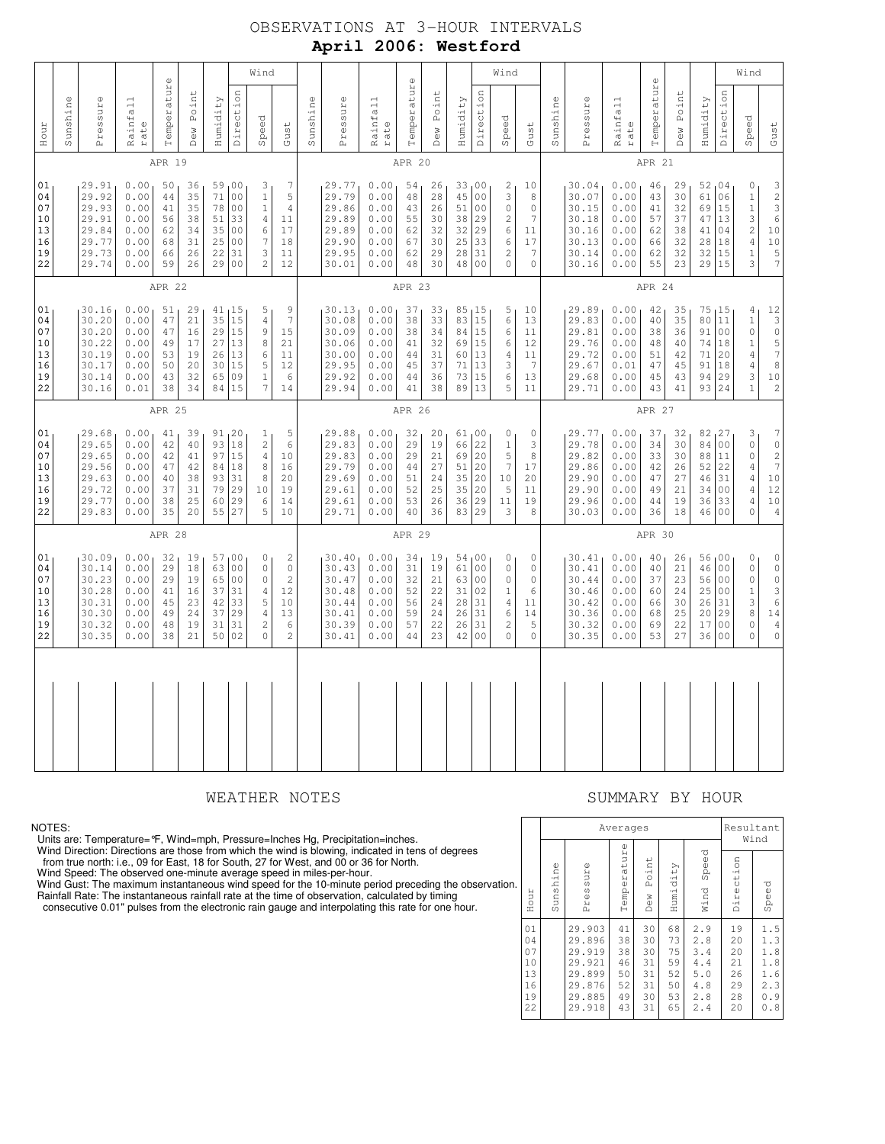# OBSERVATIONS AT 3-HOUR INTERVALS **April 2006: Westford**

| 01<br>04<br>07<br>10<br>13<br>16<br>19<br>22                                                                                 | 01<br>04<br>07<br>10<br>13<br>16<br>19<br>22                                                           |        | 01<br>04<br>07<br>10<br>13<br>16<br>19<br>22                                                     |        | 01<br>04<br>07<br>10<br>13<br>16<br>19<br>22                                                             | Hour                |          |
|------------------------------------------------------------------------------------------------------------------------------|--------------------------------------------------------------------------------------------------------|--------|--------------------------------------------------------------------------------------------------|--------|----------------------------------------------------------------------------------------------------------|---------------------|----------|
|                                                                                                                              |                                                                                                        |        |                                                                                                  |        |                                                                                                          | Sunshine            |          |
| 30.09<br>30.14<br>30.23<br>30.28<br>30.31<br>30.30<br>30.32<br>30.35                                                         | 29.68<br>29.65<br>29.65<br>29.56<br>29.63<br>29.72<br>29.77<br>29.83                                   |        | 30.16<br>30.20<br>30.20<br>30.22<br>30.19<br>30.17<br>30.14<br>30.16                             |        | 29.91<br>29.92<br>29.93<br>29.91<br>29.84<br>29.77<br>29.73<br>29.74                                     | Pressure            |          |
| 0.00<br>0.00<br>0.00<br>0.00<br>0.00<br>0.00<br>0.00<br>0.00                                                                 | 0.00<br>0.00<br>0.00<br>0.00<br>0.00<br>0.00<br>0.00<br>0.00                                           |        | 0.00<br>0.00<br>0.00<br>0.00<br>0.00<br>0.00<br>0.00<br>0.01                                     |        | 0.00<br>0.00<br>0.00<br>0.00<br>0.00<br>0.00<br>0.00<br>0.00                                             | Rainfall<br>rate    |          |
| APR 28<br>32<br>29<br>29<br>41<br>45<br>49<br>48<br>38                                                                       | 41<br>42<br>42<br>47<br>40<br>37<br>38<br>35                                                           | APR 25 | 51<br>47<br>47<br>49<br>53<br>50<br>43<br>38                                                     | APR 22 | APR 19<br>50<br>44<br>41<br>56<br>62<br>68<br>66<br>59                                                   | Temperatur          | $\omega$ |
| 19<br>18<br>19<br>16<br>23<br>24<br>19<br>21                                                                                 | 39<br>40<br>41<br>42<br>38<br>31<br>25<br>20                                                           |        | 29<br>21<br>16<br>17<br>19<br>20<br>32<br>34                                                     |        | 36<br>35<br>35<br>38<br>34<br>31<br>26<br>26                                                             | Point<br>Dew        |          |
| 63<br>65<br>37<br>42<br>37<br>31<br>50                                                                                       | 93<br>97<br>84<br>93<br>79<br>60<br>55                                                                 |        | 35<br>29<br>27<br>26<br>30<br>65<br>84                                                           |        | 59<br>71<br>78<br>51<br>35<br>25<br>22<br>29                                                             | Humidity            |          |
| 57,00<br>0 <sub>0</sub><br>0 <sub>0</sub><br>31<br>33<br>29<br>31<br>02                                                      | 91, 20<br>18<br>15<br>18<br>31<br>29<br>29<br>27                                                       |        | 41, 15<br>15<br>15<br>13<br>13<br>15<br>09<br>15                                                 |        | 00<br>0 <sub>0</sub><br>0 <sub>0</sub><br>33<br>0 <sub>0</sub><br>0 <sub>0</sub><br>31<br>0 <sub>0</sub> | Direction           |          |
| 0<br>$\Omega$<br>$\mathsf{O}\xspace$<br>$\sqrt{4}$<br>5<br>$\sqrt{4}$<br>$\overline{c}$<br>$\circ$                           | $\mathbf{1}$<br>$\sqrt{2}$<br>4<br>8<br>8<br>10<br>6<br>5                                              |        | 5<br>$\overline{4}$<br>9<br>8<br>6<br>5<br>$\,1\,$<br>$\overline{7}$                             |        | 3<br>$\,1\,$<br>$1\,$<br>$\overline{4}$<br>$\epsilon$<br>7<br>3<br>$\overline{c}$                        | Speed               | Wind     |
| $\sqrt{2}$<br>$\mathbb O$<br>$\overline{c}$<br>12<br>10<br>13<br>6<br>$\overline{c}$                                         | 5<br>6<br>10<br>16<br>20<br>19<br>14<br>10                                                             |        | 9<br>$\overline{7}$<br>15<br>21<br>11<br>12<br>6<br>14                                           |        | 7<br>5<br>$\sqrt{4}$<br>11<br>17<br>18<br>11<br>12                                                       | Gust                |          |
|                                                                                                                              |                                                                                                        |        |                                                                                                  |        |                                                                                                          | Sunshine            |          |
| 30.40<br>30.43<br>30.47<br>30.48<br>30.44<br>30.41<br>30.39<br>30.41                                                         | 29.88<br>29.83<br>29.83<br>29.79<br>29.69<br>29.61<br>29.61<br>29.71                                   |        | 30.13<br>30.08<br>30.09<br>30.06<br>30.00<br>29.95<br>29.92<br>29.94                             |        | 29.77<br>29.79<br>29.86<br>29.89<br>29.89<br>29.90<br>29.95<br>30.01                                     | Pressure            |          |
| 0.00<br>0.00<br>0.00<br>0.00<br>0.00<br>0.00<br>0.00<br>0.00                                                                 | 0.00<br>0.00<br>0.00<br>0.00<br>0.00<br>0.00<br>0.00<br>0.00                                           |        | 0.00<br>0.00<br>0.00<br>0.00<br>0.00<br>0.00<br>0.00<br>0.00                                     |        | 0.00<br>0.00<br>0.00<br>0.00<br>0.00<br>0.00<br>0.00<br>0.00                                             | Rainfall<br>rate    |          |
| APR 29<br>34<br>31<br>32<br>52<br>56<br>59<br>57<br>44                                                                       | 32<br>29<br>29<br>44<br>51<br>52<br>53<br>40                                                           | APR 26 | 37<br>38<br>38<br>41<br>44<br>45<br>44<br>41                                                     | APR 23 | APR 20<br>54<br>48<br>43<br>55<br>62<br>67<br>62<br>48                                                   | Temperatur          | $\omega$ |
| 19<br>19<br>21<br>22<br>24<br>24<br>22<br>23                                                                                 | 20<br>19<br>21<br>27<br>24<br>25<br>26<br>36                                                           |        | 33<br>33<br>34<br>32<br>31<br>37<br>36<br>38                                                     |        | 26<br>28<br>26<br>30<br>32<br>30<br>29<br>30                                                             | Point<br><b>Dew</b> |          |
| 54,00<br>61<br>63<br>31<br>28<br>26<br>26<br>42                                                                              | 61,00<br>66<br>69<br>51<br>35<br>35<br>36<br>83 29                                                     |        | 85, 15<br>83<br>84<br>69<br>60 13<br>71<br>73<br>89                                              |        | 33<br>45<br>51<br>38<br>32<br>25<br>28<br>48 00                                                          | Humidity            |          |
| 0 <sub>0</sub><br>00<br>02<br>31<br>31<br>31<br>0 <sub>0</sub>                                                               | 22<br>20<br>20<br>20<br> 20<br>29                                                                      |        | 15<br>15<br>15<br>13<br>15<br>13                                                                 |        | 00 <sub>1</sub><br>0 <sup>0</sup><br>0 <sub>0</sub><br> 29<br>29<br>33<br>31                             | Direction           |          |
| 0<br>$\mathsf{O}\xspace$<br>$\mathsf{O}\xspace$<br>$\,1$<br>$\overline{4}$<br>6<br>$\overline{c}$<br>$\overline{0}$          | $\mathsf{O}\xspace$<br>$\,1\,$<br>5<br>$\boldsymbol{7}$<br>10<br>5<br>11<br>3                          |        | 5<br>$\epsilon$<br>6<br>6<br>4<br>3<br>6<br>5                                                    |        | 2<br>3<br>$\mathsf{O}\xspace$<br>$\sqrt{2}$<br>6<br>6<br>$\sqrt{2}$<br>$\mathbf 0$                       | Speed               | Wind     |
| 0<br>$\mathbb O$<br>$\mathbb O$<br>6<br>11<br>14<br>5<br>$\mathbb O$                                                         | $\circ$<br>3<br>8<br>17<br>20<br>11<br>19<br>8                                                         |        | 10<br>13<br>11<br>12<br>11<br>$\overline{7}$<br>13<br>11                                         |        | 10<br>8<br>$\mathbb O$<br>$\overline{7}$<br>11<br>17<br>$\boldsymbol{7}$<br>$\mathbf 0$                  | Gust                |          |
|                                                                                                                              |                                                                                                        |        |                                                                                                  |        |                                                                                                          | Sunshine            |          |
| 30.41<br>30.41<br>30.44<br>30.46<br>30.42<br>30.36<br>30.32<br>30.35                                                         | 29.77<br>29.78<br>29.82<br>29.86<br>29.90<br>29.90<br>29.96<br>30.03                                   |        | 29.89<br>29.83<br>29.81<br>29.76<br>29.72<br>29.67<br>29.68<br>29.71                             |        | 30.04<br>30.07<br>30.15<br>30.18<br>30.16<br>30.13<br>30.14<br>30.16                                     | Pressure            |          |
| 0.00<br>0.00<br>0.00<br>0.00<br>0.00<br>0.00<br>0.00<br>0.00                                                                 | 0.00<br>0.00<br>0.00<br>0.00<br>0.00<br>0.00<br>0.00<br>0.00                                           |        | 0.00<br>0.00<br>$0\,$ . $0\,0$<br>0.00<br>0.00<br>0.01<br>0.00<br>0.00                           |        | 0.00<br>0.00<br>0.00<br>0.00<br>0.00<br>0.00<br>0.00<br>0.00                                             | Rainfall<br>rate    |          |
| APR 30<br>40<br>40<br>37<br>60<br>66<br>68<br>69<br>53                                                                       | 37<br>34<br>33<br>42<br>47<br>49<br>44<br>36                                                           | APR 27 | 42<br>40<br>38<br>48<br>51<br>47<br>45<br>43                                                     | APR 24 | APR 21<br>46<br>43<br>41<br>57<br>62<br>66<br>62<br>55                                                   | Temperature         |          |
| 26<br>21<br>23<br>24<br>30<br>25<br>22<br>27                                                                                 | 32<br>30<br>30<br>26<br>27<br>21<br>19<br>18                                                           |        | 35<br>35<br>36<br>40<br>42<br>45<br>43<br>41                                                     |        | 29<br>30<br>32<br>37<br>38<br>32<br>32<br>23                                                             | Point<br><b>Dew</b> |          |
| 56,00<br>46<br>56<br>25<br>26<br>20<br>17<br>36                                                                              | 82, 27<br>84<br>88<br>52<br>46<br>34<br>36<br>46                                                       |        | 75, 15<br>$8\,0$<br>91<br>74<br>71<br>91<br>94<br>93                                             |        | 52,04<br>61<br>69<br>47<br>41<br>28<br>32<br>29                                                          | Humidity            |          |
| 0 <sub>0</sub><br>0 <sub>0</sub><br>0 <sub>0</sub><br>31<br>29<br>0 <sub>0</sub><br>0 <sub>0</sub>                           | 0 <sub>0</sub><br>11<br>22<br>31<br>0 <sub>0</sub><br>33<br>00                                         |        | 11<br>0 <sub>0</sub><br>18<br>20<br>18<br>29<br>24                                               |        | 06<br>15<br>13<br>04<br>18<br>15<br>15                                                                   | Direction           |          |
| $\mathsf{O}\xspace$<br>$\mathbb O$<br>$\mathbb O$<br>$\mathbf 1$<br>$\ensuremath{\mathsf{3}}$<br>8<br>$\mathbb O$<br>$\circ$ | 3<br>$\mathbb O$<br>$\mathbb O$<br>4<br>$\overline{4}$<br>4<br>$\overline{4}$<br>$\circ$               |        | $\sqrt{4}$<br>$\,1\,$<br>$\mathbb O$<br>$\mathbf{1}$<br>4<br>$\overline{4}$<br>3<br>$\mathbf{1}$ |        | $\mathbb O$<br>$\,1$<br>$\,1\,$<br>3<br>$\sqrt{2}$<br>$\overline{4}$<br>$\mathbf{1}$<br>3                | Speed               | Wind     |
| $\mathbb O$<br>$\mathbf 0$<br>$\mathbb O$<br>$\ensuremath{\mathsf{3}}$<br>$\epsilon$<br>14<br>$\sqrt{4}$<br>$\circ$          | $\boldsymbol{7}$<br>$\overline{0}$<br>$\overline{c}$<br>$\overline{7}$<br>10<br>12<br>10<br>$\sqrt{4}$ |        | 12<br>$\mathbf{3}$<br>$\circ$<br>$\frac{5}{7}$<br>8<br>10<br>$\sqrt{2}$                          |        | $\begin{array}{c} 3 \\ 2 \\ 3 \end{array}$<br>$\overline{6}$<br>10<br>10<br>5<br>$\boldsymbol{7}$        | Gust                |          |

### WEATHER NOTES SUMMARY BY HOUR

### NOTES:

Units are: Temperature= °F, Wind=mph, Pressure=Inches Hg, Precipitation=inches.<br>Wind Direction: Directions are those from which the wind is blowing, indicated in tens of degrees<br>from true north: i.e., 09 for East, 18 for S

 Wind Gust: The maximum instantaneous wind speed for the 10-minute period preceding the observation. Rainfall Rate: The instantaneous rainfall rate at the time of observation, calculated by timing

consecutive 0.01" pulses from the electronic rain gauge and interpolating this rate for one hour.

|    |                                              |          |                                                                              | Averages                                     |                                              |                                              |                                                      |                                              | Resultant<br>Wind                                    |
|----|----------------------------------------------|----------|------------------------------------------------------------------------------|----------------------------------------------|----------------------------------------------|----------------------------------------------|------------------------------------------------------|----------------------------------------------|------------------------------------------------------|
| n. | Hour                                         | Sunshine | Ф<br>Pressur                                                                 | Temperature                                  | Point<br>Dew                                 | Humidity                                     | Speed<br>Wind                                        | Direction                                    | Speed                                                |
|    | 01<br>04<br>07<br>10<br>13<br>16<br>19<br>22 |          | 29.903<br>29.896<br>29.919<br>29.921<br>29.899<br>29.876<br>29.885<br>29.918 | 41<br>38<br>38<br>46<br>50<br>52<br>49<br>43 | 30<br>30<br>30<br>31<br>31<br>31<br>30<br>31 | 68<br>73<br>75<br>59<br>52<br>50<br>53<br>65 | 2.9<br>2.8<br>3.4<br>4.4<br>5.0<br>4.8<br>2.8<br>2.4 | 19<br>20<br>20<br>21<br>26<br>29<br>28<br>20 | 1.5<br>1.3<br>1.8<br>1.8<br>1.6<br>2.3<br>0.9<br>0.8 |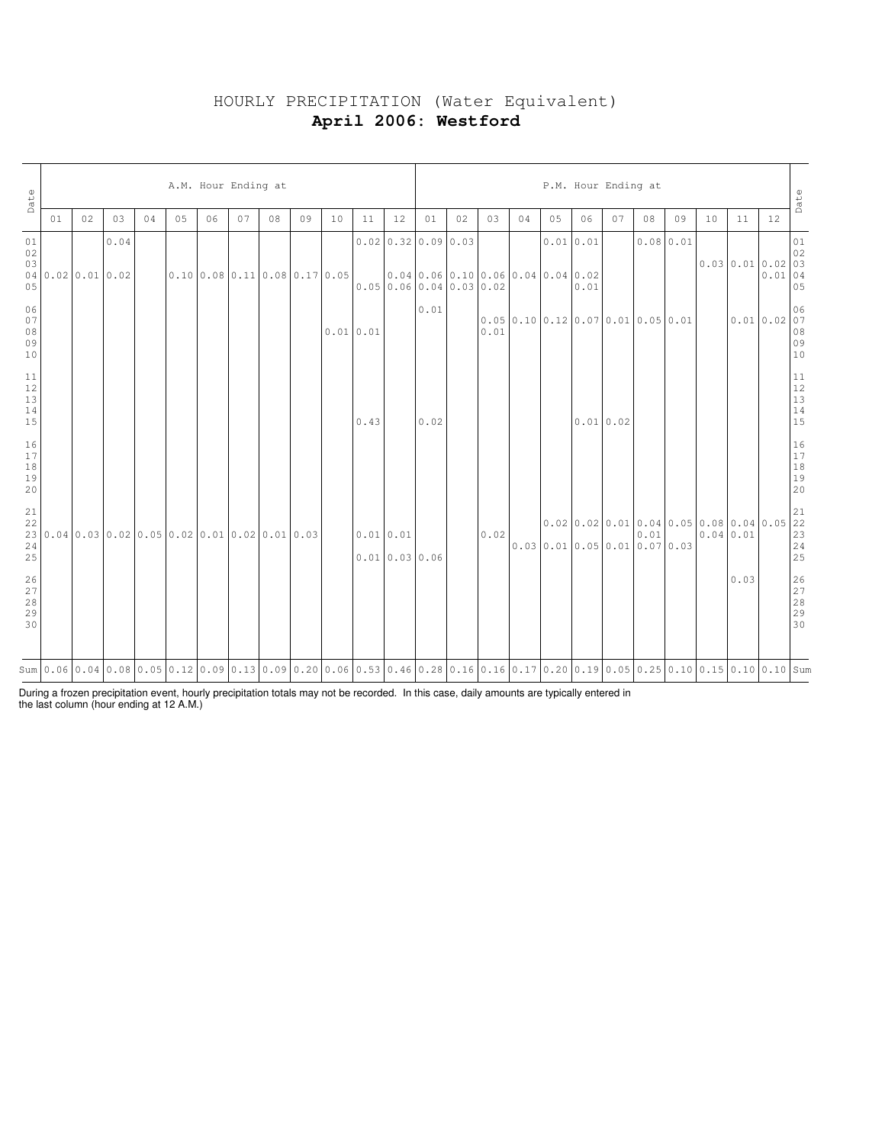# HOURLY PRECIPITATION (Water Equivalent) **April 2006: Westford**

| Date                                                      |                |    |      |    |    |    | A.M. Hour Ending at           |    |    |    |                                                                                                                                                                                                                                |                           |                                                                                          |    |      |    |                                                                    | P.M. Hour Ending at |    |    |           |                                                                                                                                                                                                                                                        |      |            | Date                                                      |
|-----------------------------------------------------------|----------------|----|------|----|----|----|-------------------------------|----|----|----|--------------------------------------------------------------------------------------------------------------------------------------------------------------------------------------------------------------------------------|---------------------------|------------------------------------------------------------------------------------------|----|------|----|--------------------------------------------------------------------|---------------------|----|----|-----------|--------------------------------------------------------------------------------------------------------------------------------------------------------------------------------------------------------------------------------------------------------|------|------------|-----------------------------------------------------------|
|                                                           | 01             | 02 | 03   | 04 | 05 | 06 | 07                            | 08 | 09 | 10 | 11                                                                                                                                                                                                                             | 12                        | 01                                                                                       | 02 | 03   | 04 | 05                                                                 | 06                  | 07 | 08 | 09        | 10                                                                                                                                                                                                                                                     | 11   | 12         |                                                           |
| 01<br>02<br>03<br>05                                      | 040.020.010.02 |    | 0.04 |    |    |    | 0.10 0.08 0.11 0.08 0.17 0.05 |    |    |    |                                                                                                                                                                                                                                |                           | $0.02$ 0.32 0.09 0.03<br>[0.04]0.06]0.10]0.06]0.04]0.04]0.02<br>0.0500.0600.0400.0300.02 |    |      |    | 0.010.01                                                           | 0.01                |    |    | 0.0800.01 | $\begin{bmatrix} 0.03 & 0.01 & 0.02 & 0.03 \\ 0.03 & 0.01 & 0.02 & 0.03 \\ 0.01 & 0.0 & 0.5 \end{bmatrix}$                                                                                                                                             |      |            | $0\,1$                                                    |
| 06<br>07<br>$0\,8$<br>09<br>10                            |                |    |      |    |    |    |                               |    |    |    | 0.010.01                                                                                                                                                                                                                       |                           | 0.01                                                                                     |    | 0.01 |    | $0.05 \mid 0.10 \mid 0.12 \mid 0.07 \mid 0.01 \mid 0.05 \mid 0.01$ |                     |    |    |           |                                                                                                                                                                                                                                                        |      | 0.010.0207 | 06<br>  08<br>  09<br>  10                                |
| 11<br>$\begin{array}{c} 12 \\ 13 \\ 14 \end{array}$<br>15 |                |    |      |    |    |    |                               |    |    |    | 0.43                                                                                                                                                                                                                           |                           | 0.02                                                                                     |    |      |    |                                                                    | 0.010.02            |    |    |           |                                                                                                                                                                                                                                                        |      |            | $\begin{array}{c} 11 \\ 12 \\ 13 \\ 14 \\ 15 \end{array}$ |
| 16<br>17<br>18<br>19<br>20                                |                |    |      |    |    |    |                               |    |    |    |                                                                                                                                                                                                                                |                           |                                                                                          |    |      |    |                                                                    |                     |    |    |           |                                                                                                                                                                                                                                                        |      |            | $\begin{array}{c} 16 \\ 17 \\ 18 \\ 19 \\ 20 \end{array}$ |
| 24<br>25                                                  |                |    |      |    |    |    |                               |    |    |    |                                                                                                                                                                                                                                | 0.01 0.01<br>0.010.030.06 |                                                                                          |    | 0.02 |    | $0.03 \mid 0.01 \mid 0.05 \mid 0.01 \mid 0.07 \mid 0.03$           |                     |    |    |           | $\begin{bmatrix} 0.02 & 0.02 & 0.01 & 0.04 & 0.05 & 0.08 & 0.04 & 0.05 & 22 \\ 0.01 & 0.05 & 0.01 & 0.07 & 0.03 & 0.04 & 0.01 & 23 \\ 0.01 & 0.05 & 0.01 & 0.07 & 0.03 & 0.04 & 0.01 & 24 \\ 25 & 0.01 & 0.02 & 0.03 & 0.04 & 0.01 & 25 \end{bmatrix}$ |      |            |                                                           |
| 26<br>27<br>$2\,8$<br>29<br>30                            |                |    |      |    |    |    |                               |    |    |    |                                                                                                                                                                                                                                |                           |                                                                                          |    |      |    |                                                                    |                     |    |    |           |                                                                                                                                                                                                                                                        | 0.03 |            | 26<br>27<br>28<br>29<br>29<br>30                          |
|                                                           |                |    |      |    |    |    |                               |    |    |    | sum 0.06 0.04 0.08 0.05 0.12 0.09 0.13 0.09 0.20 0.06 0.53 0.46 0.28 0.16 0.15 0.17 0.20 0.19 0.05 0.25 0.10 0.15 0.10 0.15 0.10 0.15 0.10 0.15 0.10 0.15 0.10 0.15 0.10 0.15 0.10 0.15 0.10 0.15 0.10 0.15 0.10 0.15 0.10 0.1 |                           |                                                                                          |    |      |    |                                                                    |                     |    |    |           |                                                                                                                                                                                                                                                        |      |            |                                                           |

During a frozen precipitation event, hourly precipitation totals may not be recorded. In this case, daily amounts are typically entered in the last column (hour ending at 12 A.M.)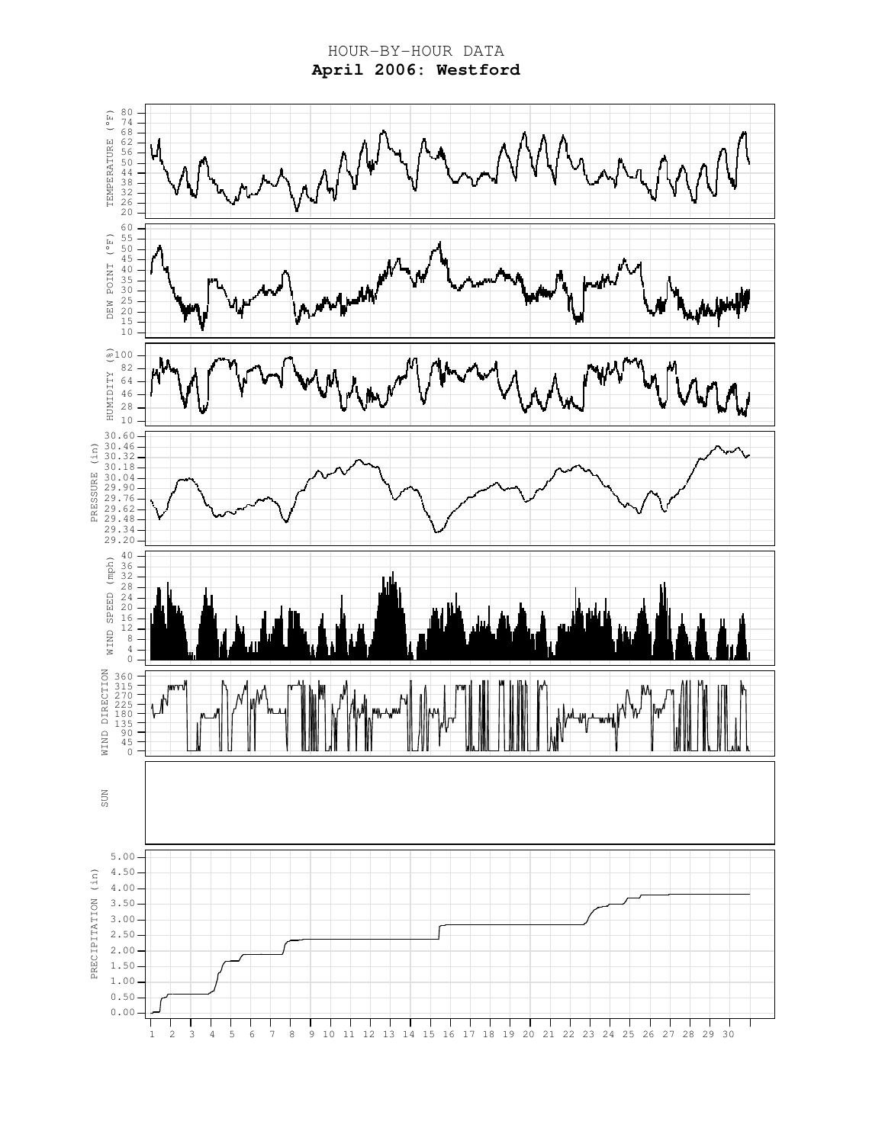HOUR-BY-HOUR DATA **April 2006: Westford**